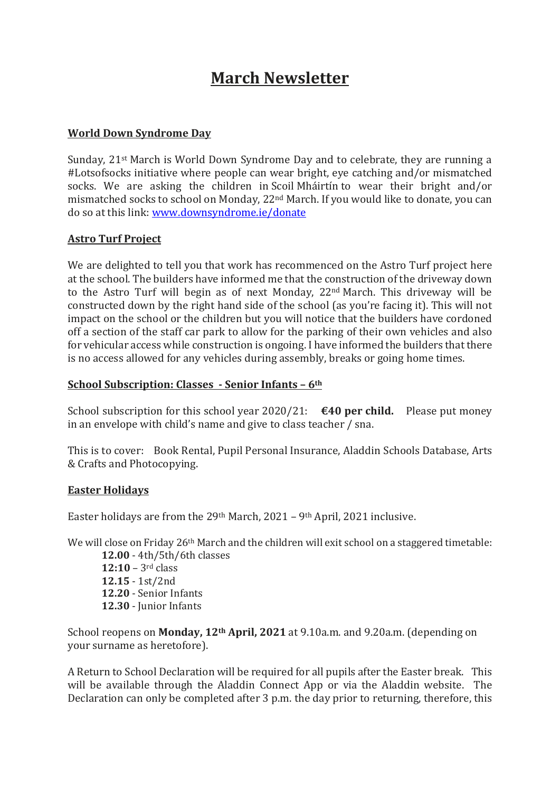# **March Newsletter**

### **World Down Syndrome Day**

Sunday, 21st March is World Down Syndrome Day and to celebrate, they are running a #Lotsofsocks initiative where people can wear bright, eye catching and/or mismatched socks. We are asking the children in Scoil Mháirtín to wear their bright and/or mismatched socks to school on Monday, 22nd March. If you would like to donate, you can do so at this link: [www.downsyndrome.ie/donate](https://emea01.safelinks.protection.outlook.com/?url=http%3A%2F%2Fwww.downsyndrome.ie%2Fdonate&data=04%7C01%7C%7C9ac0b3cdc91d415fb8e708d8ea1a1b12%7C84df9e7fe9f640afb435aaaaaaaaaaaa%7C1%7C0%7C637516745128754134%7CUnknown%7CTWFpbGZsb3d8eyJWIjoiMC4wLjAwMDAiLCJQIjoiV2luMzIiLCJBTiI6Ik1haWwiLCJXVCI6Mn0%3D%7C1000&sdata=RW1BQfEbWU9%2FRXxCJfH8UvwxXxYxgmXGVXiTR%2B8Q0Iw%3D&reserved=0)

#### **Astro Turf Project**

We are delighted to tell you that work has recommenced on the Astro Turf project here at the school. The builders have informed me that the construction of the driveway down to the Astro Turf will begin as of next Monday, 22nd March. This driveway will be constructed down by the right hand side of the school (as you're facing it). This will not impact on the school or the children but you will notice that the builders have cordoned off a section of the staff car park to allow for the parking of their own vehicles and also for vehicular access while construction is ongoing. I have informed the builders that there is no access allowed for any vehicles during assembly, breaks or going home times.

## **School Subscription: Classes - Senior Infants – 6th**

School subscription for this school year 2020/21: **€40 per child.** Please put money in an envelope with child's name and give to class teacher / sna.

This is to cover: Book Rental, Pupil Personal Insurance, Aladdin Schools Database, Arts & Crafts and Photocopying.

#### **Easter Holidays**

Easter holidays are from the 29th March, 2021 – 9th April, 2021 inclusive.

We will close on Friday 26<sup>th</sup> March and the children will exit school on a staggered timetable:

**12.00** - 4th/5th/6th classes **12:10** – 3rd class **12.15** - 1st/2nd **12.20** - Senior Infants **12.30** - Junior Infants

School reopens on **Monday, 12th April, 2021** at 9.10a.m. and 9.20a.m. (depending on your surname as heretofore).

A Return to School Declaration will be required for all pupils after the Easter break. This will be available through the Aladdin Connect App or via the Aladdin website. The Declaration can only be completed after 3 p.m. the day prior to returning, therefore, this